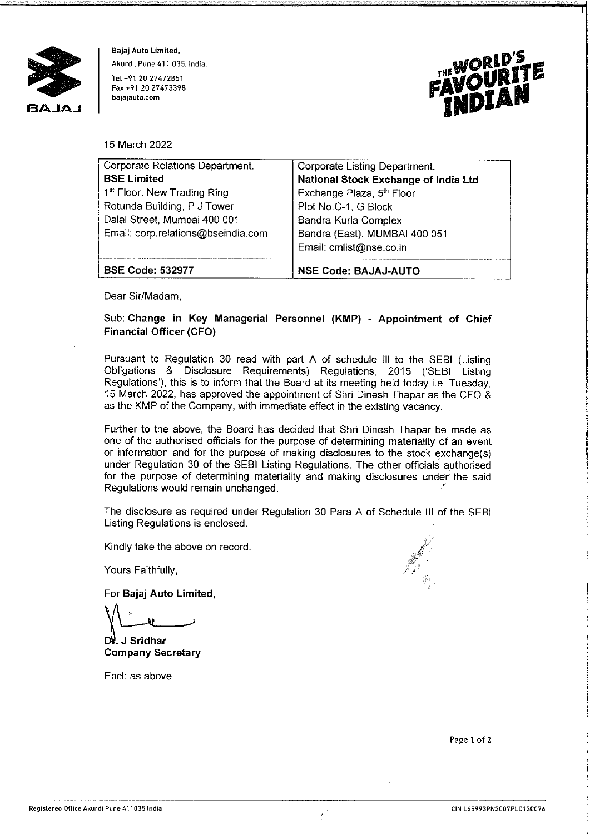

**Bajaj Auto Limited, Akurdi. Pune 411 035, India. Tel +91 20 27472851**  Fax +91 20 27473398 **bajajauto.com** 



15 March 2022

| Corporate Relations Department.         | Corporate Listing Department.         |
|-----------------------------------------|---------------------------------------|
| <b>BSE Limited</b>                      | National Stock Exchange of India Ltd  |
| 1 <sup>st</sup> Floor, New Trading Ring | Exchange Plaza, 5 <sup>th</sup> Floor |
| Rotunda Building, P J Tower             | Plot No.C-1, G Block                  |
| Dalal Street, Mumbai 400 001            | Bandra-Kurla Complex                  |
| Email: corp.relations@bseindia.com      | Bandra (East), MUMBAI 400 051         |
|                                         | Email: cmlist@nse.co.in               |
| <b>BSE Code: 532977</b>                 | <b>NSE Code: BAJAJ-AUTO</b>           |

Dear Sir/Madam,

## Sub: **Change in Key Managerial Personnel (KMP) - Appointment of Chief Financial Officer (CFO)**

Pursuant to Regulation 30 read with part A of schedule Ill to the SEBI (Listing Obligations & Disclosure Requirements) Regulations, 2015 ('SEBI Listing Regulations'), this is to inform that the Board at its meeting held today i.e. Tuesday, 15 March 2022, has approved the appointment of Shri Dinesh Thapar as the CFO & as the KMP of the Company, with immediate effect in the existing vacancy.

Further to the above, the Board has decided that Shri Dinesh Thapar be made as one of the authorised officials for the purpose of determining materiality of an event or information and for the purpose of making disclosures to the stock exchange(s) under Regulation 30 of the SEBI Listing Regulations. The other officials a\_uthorised for the purpose of determining materiality and making disclosures under the said Regulations would remain unchanged.

The disclosure as required under Regulation 30 Para A of Schedule **Ill** of the SEBI Listing Regulations is enclosed.

Kindly take the above on record.

Yours Faithfully,

For **Bajaj Auto Limited,** 

For Bajaj Auto Limited,<br>For Bajaj Auto Limited,<br>M. J Sridhar<br>Company Secretary

**Company** 

Encl: as above



Page 1 of 2